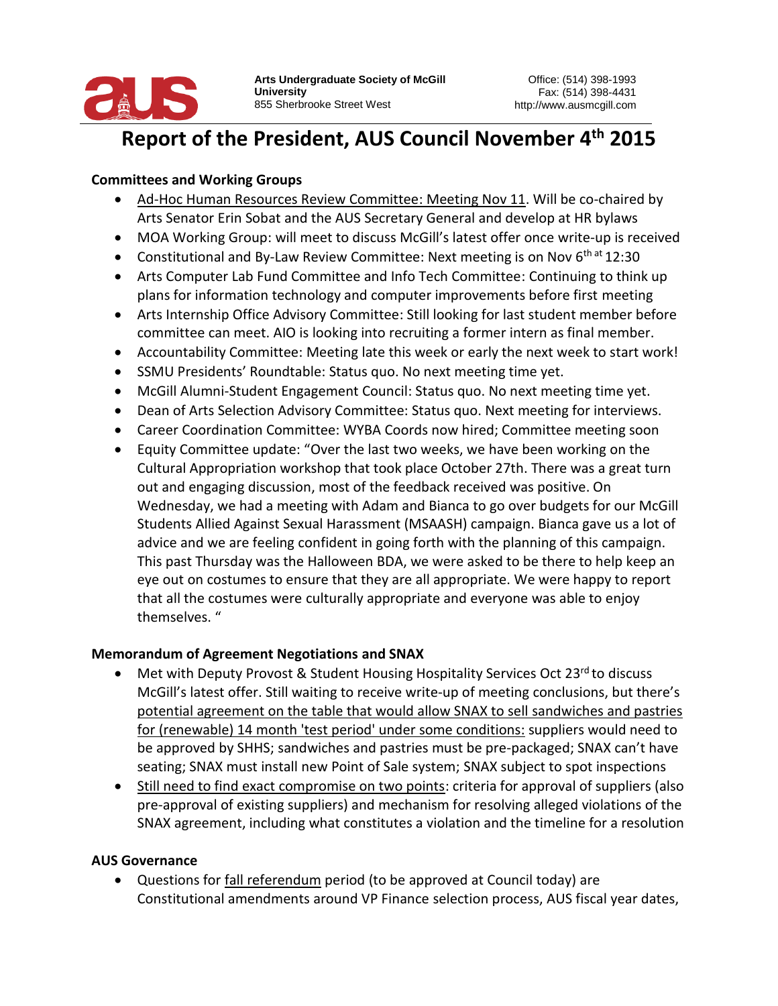

#### **Report of the President, AUS Council November 4<sup>th</sup> 2015** President, AU:

## **Committees and Working Groups**

- Ad-Hoc Human Resources Review Committee: Meeting Nov 11. Will be co-chaired by Arts Senator Erin Sobat and the AUS Secretary General and develop at HR bylaws
- MOA Working Group: will meet to discuss McGill's latest offer once write-up is received
- Constitutional and By-Law Review Committee: Next meeting is on Nov  $6<sup>th at</sup> 12:30$
- Arts Computer Lab Fund Committee and Info Tech Committee: Continuing to think up plans for information technology and computer improvements before first meeting
- Arts Internship Office Advisory Committee: Still looking for last student member before committee can meet. AIO is looking into recruiting a former intern as final member.
- Accountability Committee: Meeting late this week or early the next week to start work!
- SSMU Presidents' Roundtable: Status quo. No next meeting time yet.
- McGill Alumni-Student Engagement Council: Status quo. No next meeting time yet.
- Dean of Arts Selection Advisory Committee: Status quo. Next meeting for interviews.
- Career Coordination Committee: WYBA Coords now hired; Committee meeting soon
- Equity Committee update: "Over the last two weeks, we have been working on the Cultural Appropriation workshop that took place October 27th. There was a great turn out and engaging discussion, most of the feedback received was positive. On Wednesday, we had a meeting with Adam and Bianca to go over budgets for our McGill Students Allied Against Sexual Harassment (MSAASH) campaign. Bianca gave us a lot of advice and we are feeling confident in going forth with the planning of this campaign. This past Thursday was the Halloween BDA, we were asked to be there to help keep an eye out on costumes to ensure that they are all appropriate. We were happy to report that all the costumes were culturally appropriate and everyone was able to enjoy themselves. "

## **Memorandum of Agreement Negotiations and SNAX**

- Met with Deputy Provost & Student Housing Hospitality Services Oct 23<sup>rd</sup> to discuss McGill's latest offer. Still waiting to receive write-up of meeting conclusions, but there's potential agreement on the table that would allow SNAX to sell sandwiches and pastries for (renewable) 14 month 'test period' under some conditions: suppliers would need to be approved by SHHS; sandwiches and pastries must be pre-packaged; SNAX can't have seating; SNAX must install new Point of Sale system; SNAX subject to spot inspections
- Still need to find exact compromise on two points: criteria for approval of suppliers (also pre-approval of existing suppliers) and mechanism for resolving alleged violations of the SNAX agreement, including what constitutes a violation and the timeline for a resolution

### **AUS Governance**

• Questions for fall referendum period (to be approved at Council today) are Constitutional amendments around VP Finance selection process, AUS fiscal year dates,